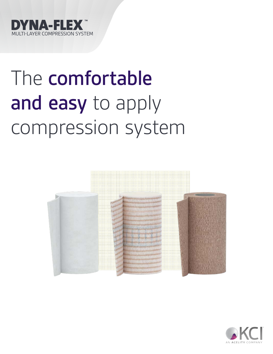

# The comfortable and easy to apply compression system



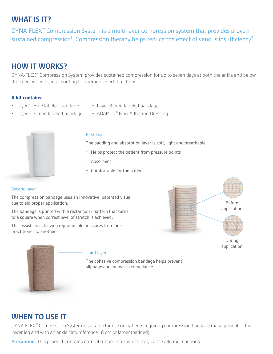## **WHAT IS IT?**

DYNA-FLEX™ Compression System is a multi-layer compression system that provides proven sustained compression<sup>1</sup>. Compression therapy helps reduce the effect of venous insufficiency<sup>2</sup>.

## **HOW IT WORKS?**

DYNA-FLEX™ Compression System provides sustained compression for up to seven days at both the ankle and below the knee, when used according to package insert directions.

#### **A kit contains:**

- Layer 1: Blue labeled bandage Layer 3: Red labeled bandage
- 
- 
- Layer 2: Green labeled bandage ADAPTIC™ Non-Adhering Dressing



#### First layer

The padding and absorption layer is soft, light and breathable.

- Helps protect the patient from pressure points
- Absorbent
- Comfortable for the patient

#### Second layer

The compression bandage uses an innovative, patented visual cue to aid proper application.

The bandage is printed with a rectangular pattern that turns to a square when correct level of stretch is achieved.

This assists in achieving reproducible pressures from one practitioner to another.



Third layer

The cohesive compression bandage helps prevent slippage and increases compliance.

## **WHEN TO USE IT**

DYNA-FLEX™ Compression System is suitable for use on patients requiring compression bandage management of the lower leg and with an ankle circumference 18 cm or larger (padded).

**Precaution:** This product contains natural rubber latex which may cause allergic reactions.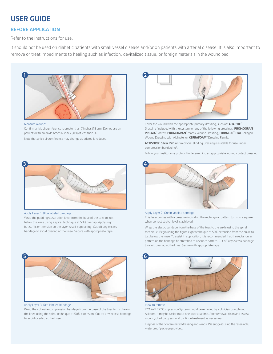## **USER GUIDE**

#### **BEFORE APPLICATION**

Refer to the instructions for use.

It should not be used on diabetic patients with small vessel disease and/or on patients with arterial disease. It is also important to remove or treat impediments to healing such as infection, devitalized tissue, or foreign materials in the wound bed.



Measure wound:

Confirm ankle circumference is greater than 7 inches (18 cm). Do not use on patients with an ankle brachial index (ABI) of less than 0.8.

Note that ankle circumference may change as edema is reduced.



Apply Layer 1: Blue labeled bandage

Wrap the padding/absorption layer from the base of the toes to just below the knee using a spiral technique at 50% overlap. Apply slight but sufficient tension so the layer is self-supporting. Cut off any excess bandage to avoid overlap at the knee. Secure with appropriate tape.



Apply Layer 3: Red labeled bandage

Wrap the cohesive compression bandage from the base of the toes to just below the knee using the spiral technique at 50% extension. Cut off any excess bandage to avoid overlap at the knee.



Cover the wound with the appropriate primary dressing, such as: **ADAPTIC**™ Dressing (included with the system) or any of the following dressings: **PROMOGRAN PRISMA**™ Matrix, **PROMOGRAN**™ Matrix Wound Dressing, **FIBRACOL**™ **Plus** Collagen Wound Dressing with Alginate, or **KERRAFOAM**™ Dressing Family.

**ACTISORB**™ **Silver 220** Antimicrobial Binding Dressing is suitable for use under compression bandaging<sup>3</sup>.

Follow your institution's protocol in determining an appropriate wound contact dressing.



Apply Layer 2: Green labeled bandage

This layer comes with a pressure indicator: the rectangular pattern turns to a square when correct stretch level is achieved.

Wrap the elastic bandage from the base of the toes to the ankle using the spiral technique. Begin using the figure eight technique at 50% extension from the ankle to just below the knee. To assist in application, it is recommended that the rectangular pattern on the bandage be stretched to a square pattern. Cut off any excess bandage to avoid overlap at the knee. Secure with appropriate tape.



#### How to remove

DYNA-FLEX™ Compression System should be removed by a clinician using blunt scissors. It may be easier to cut one layer at a time. After removal, clean and assess wound, chart progress, and continue treatment as necessary.

Dispose of the contaminated dressing and wraps. We suggest using the resealable, waterproof package provided.